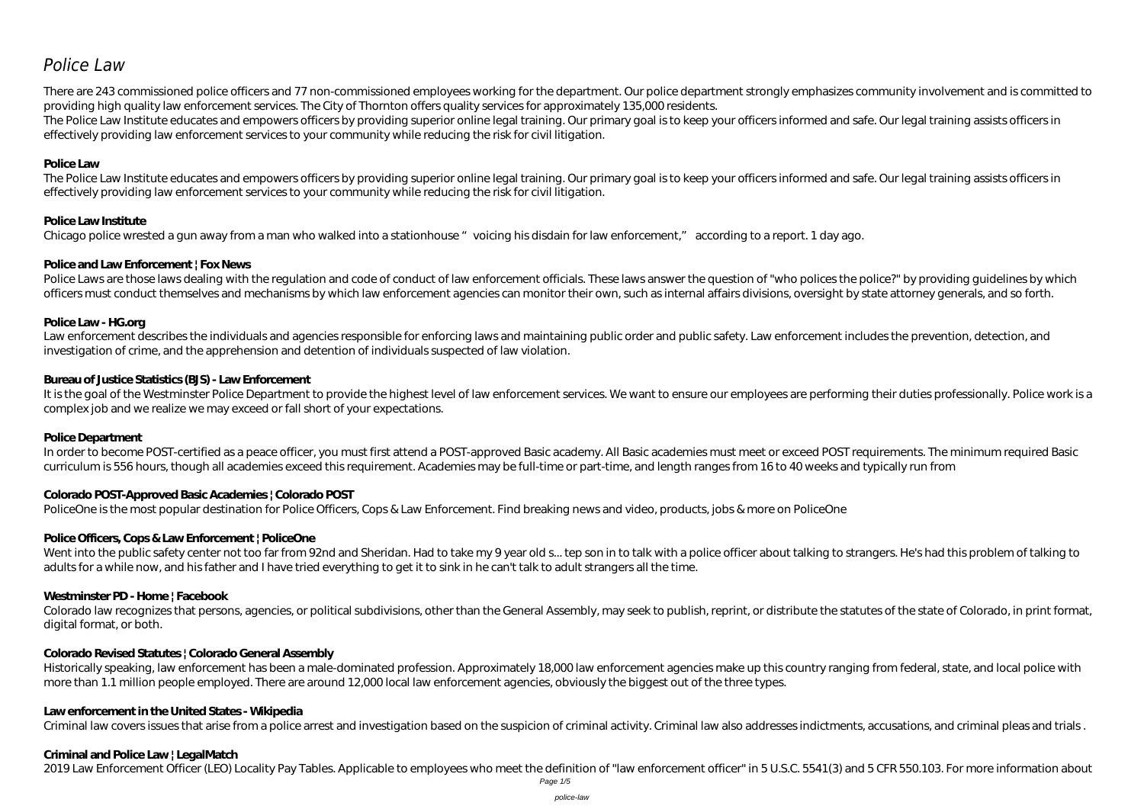# *Police Law*

There are 243 commissioned police officers and 77 non-commissioned employees working for the department. Our police department strongly emphasizes community involvement and is committed to providing high quality law enforcement services. The City of Thornton offers quality services for approximately 135,000 residents. The Police Law Institute educates and empowers officers by providing superior online legal training. Our primary goal is to keep your officers informed and safe. Our legal training assists officers in effectively providing law enforcement services to your community while reducing the risk for civil litigation.

# **Police Law**

Police Laws are those laws dealing with the regulation and code of conduct of law enforcement officials. These laws answer the question of "who polices the police?" by providing quidelines by which officers must conduct themselves and mechanisms by which law enforcement agencies can monitor their own, such as internal affairs divisions, oversight by state attorney generals, and so forth.

The Police Law Institute educates and empowers officers by providing superior online legal training. Our primary goal is to keep your officers informed and safe. Our legal training assists officers in effectively providing law enforcement services to your community while reducing the risk for civil litigation.

Law enforcement describes the individuals and agencies responsible for enforcing laws and maintaining public order and public safety. Law enforcement includes the prevention, detection, and investigation of crime, and the apprehension and detention of individuals suspected of law violation.

# **Police Law Institute**

Chicago police wrested a gun away from a man who walked into a stationhouse "voicing his disdain for law enforcement," according to a report. 1 day ago.

It is the goal of the Westminster Police Department to provide the highest level of law enforcement services. We want to ensure our employees are performing their duties professionally. Police work is a complex job and we realize we may exceed or fall short of your expectations.

# **Police and Law Enforcement | Fox News**

In order to become POST-certified as a peace officer, you must first attend a POST-approved Basic academy. All Basic academies must meet or exceed POST requirements. The minimum required Basic curriculum is 556 hours, though all academies exceed this requirement. Academies may be full-time or part-time, and length ranges from 16 to 40 weeks and typically run from

# **Police Law - HG.org**

Went into the public safety center not too far from 92nd and Sheridan. Had to take my 9 year old s... tep son in to talk with a police officer about talking to strangers. He's had this problem of talking to adults for a while now, and his father and I have tried everything to get it to sink in he can't talk to adult strangers all the time.

Colorado law recognizes that persons, agencies, or political subdivisions, other than the General Assembly, may seek to publish, reprint, or distribute the statutes of the state of Colorado, in print format, digital format, or both.

# **Bureau of Justice Statistics (BJS) - Law Enforcement**

# **Police Department**

# **Colorado POST-Approved Basic Academies | Colorado POST**

PoliceOne is the most popular destination for Police Officers, Cops & Law Enforcement. Find breaking news and video, products, jobs & more on PoliceOne

# **Police Officers, Cops & Law Enforcement | PoliceOne**

# **Westminster PD - Home | Facebook**

# **Colorado Revised Statutes | Colorado General Assembly**

Historically speaking, law enforcement has been a male-dominated profession. Approximately 18,000 law enforcement agencies make up this country ranging from federal, state, and local police with more than 1.1 million people employed. There are around 12,000 local law enforcement agencies, obviously the biggest out of the three types.

# **Law enforcement in the United States - Wikipedia**

Criminal law covers issues that arise from a police arrest and investigation based on the suspicion of criminal activity. Criminal law also addresses indictments, accusations, and criminal pleas and trials .

# **Criminal and Police Law | LegalMatch**

2019 Law Enforcement Officer (LEO) Locality Pay Tables. Applicable to employees who meet the definition of "law enforcement officer" in 5 U.S.C. 5541(3) and 5 CFR 550.103. For more information about

Page 1/5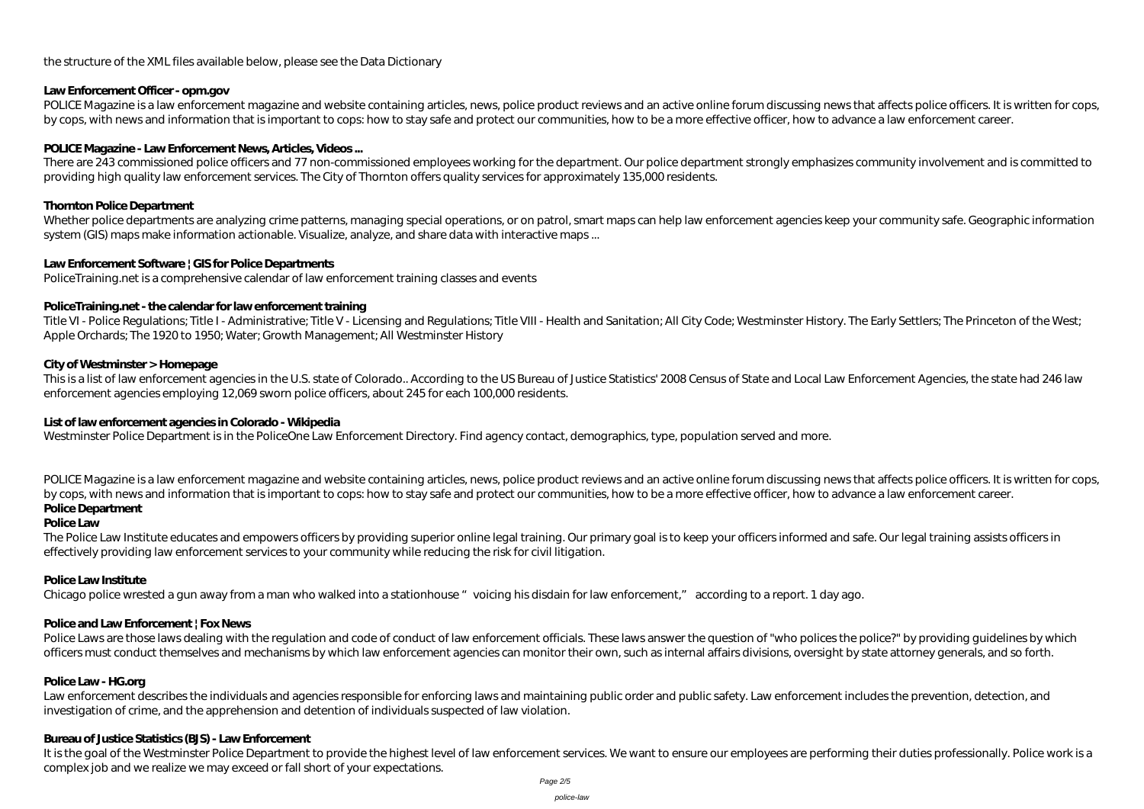# the structure of the XML files available below, please see the Data Dictionary

### **Law Enforcement Officer - opm.gov**

POLICE Magazine is a law enforcement magazine and website containing articles, news, police product reviews and an active online forum discussing news that affects police officers. It is written for cops, by cops, with news and information that is important to cops: how to stay safe and protect our communities, how to be a more effective officer, how to advance a law enforcement career.

## POLICE Magazine - Law Enforcement News, Articles, Videos...

Whether police departments are analyzing crime patterns, managing special operations, or on patrol, smart maps can help law enforcement agencies keep your community safe. Geographic information system (GIS) maps make information actionable. Visualize, analyze, and share data with interactive maps ...

There are 243 commissioned police officers and 77 non-commissioned employees working for the department. Our police department strongly emphasizes community involvement and is committed to providing high quality law enforcement services. The City of Thornton offers quality services for approximately 135,000 residents.

Title VI - Police Regulations; Title I - Administrative; Title V - Licensing and Regulations; Title VIII - Health and Sanitation; All City Code; Westminster History. The Early Settlers; The Princeton of the West; Apple Orchards; The 1920 to 1950; Water; Growth Management; All Westminster History

### **Thornton Police Department**

### **Law Enforcement Software | GIS for Police Departments**

PoliceTraining.net is a comprehensive calendar of law enforcement training classes and events

POLICE Magazine is a law enforcement magazine and website containing articles, news, police product reviews and an active online forum discussing news that affects police officers. It is written for cops, by cops, with news and information that is important to cops: how to stay safe and protect our communities, how to be a more effective officer, how to advance a law enforcement career. **Police Department**

### **PoliceTraining.net - the calendar for law enforcement training**

### **City of Westminster > Homepage**

Police Laws are those laws dealing with the regulation and code of conduct of law enforcement officials. These laws answer the question of "who polices the police?" by providing quidelines by which officers must conduct themselves and mechanisms by which law enforcement agencies can monitor their own, such as internal affairs divisions, oversight by state attorney generals, and so forth.

This is a list of law enforcement agencies in the U.S. state of Colorado.. According to the US Bureau of Justice Statistics' 2008 Census of State and Local Law Enforcement Agencies, the state had 246 law enforcement agencies employing 12,069 sworn police officers, about 245 for each 100,000 residents.

Law enforcement describes the individuals and agencies responsible for enforcing laws and maintaining public order and public safety. Law enforcement includes the prevention, detection, and investigation of crime, and the apprehension and detention of individuals suspected of law violation.

#### **List of law enforcement agencies in Colorado - Wikipedia**

It is the goal of the Westminster Police Department to provide the highest level of law enforcement services. We want to ensure our employees are performing their duties professionally. Police work is a complex job and we realize we may exceed or fall short of your expectations.

Westminster Police Department is in the PoliceOne Law Enforcement Directory. Find agency contact, demographics, type, population served and more.

#### **Police Law**

The Police Law Institute educates and empowers officers by providing superior online legal training. Our primary goal is to keep your officers informed and safe. Our legal training assists officers in effectively providing law enforcement services to your community while reducing the risk for civil litigation.

#### **Police Law Institute**

Chicago police wrested a gun away from a man who walked into a stationhouse "voicing his disdain for law enforcement," according to a report. 1 day ago.

# **Police and Law Enforcement | Fox News**

#### **Police Law - HG.org**

#### **Bureau of Justice Statistics (BJS) - Law Enforcement**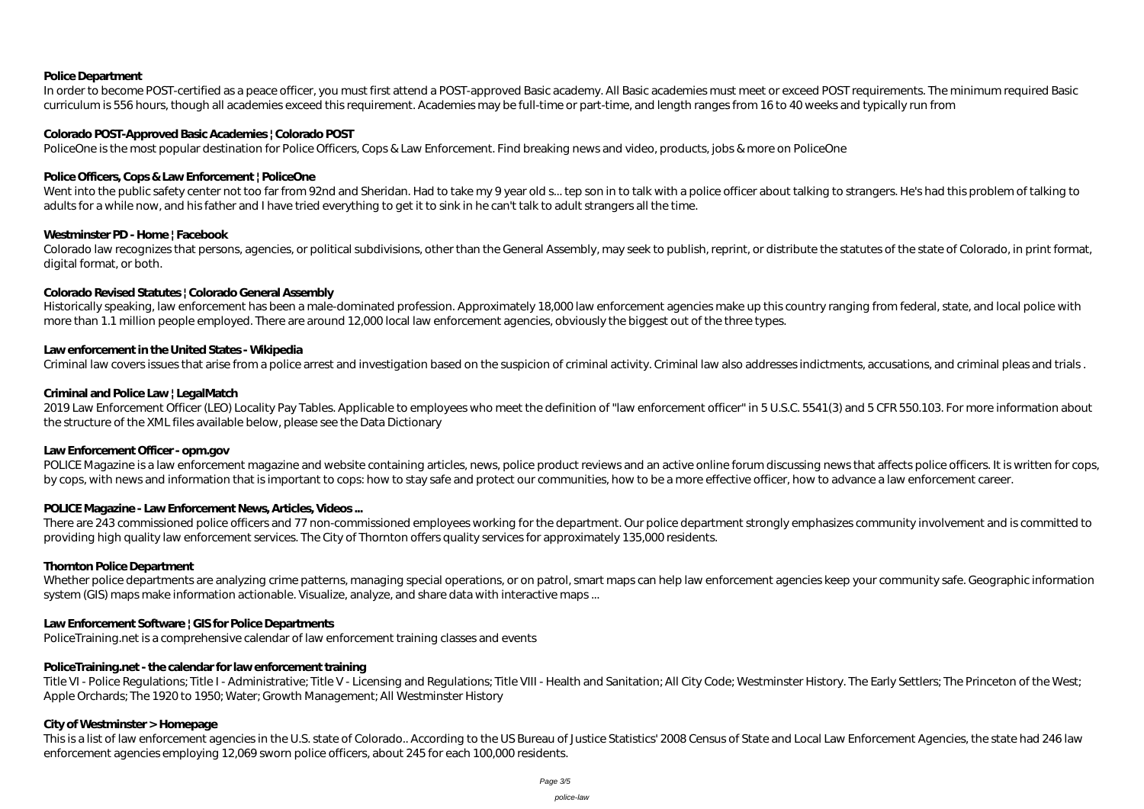# **Police Department**

In order to become POST-certified as a peace officer, you must first attend a POST-approved Basic academy. All Basic academies must meet or exceed POST requirements. The minimum required Basic curriculum is 556 hours, though all academies exceed this requirement. Academies may be full-time or part-time, and length ranges from 16 to 40 weeks and typically run from

#### **Colorado POST-Approved Basic Academies | Colorado POST**

Went into the public safety center not too far from 92nd and Sheridan. Had to take my 9 year old s... tep son in to talk with a police officer about talking to strangers. He's had this problem of talking to talking to adults for a while now, and his father and I have tried everything to get it to sink in he can't talk to adult strangers all the time.

PoliceOne is the most popular destination for Police Officers, Cops & Law Enforcement. Find breaking news and video, products, jobs & more on PoliceOne

### **Police Officers, Cops & Law Enforcement | PoliceOne**

### **Westminster PD - Home | Facebook**

2019 Law Enforcement Officer (LEO) Locality Pay Tables. Applicable to employees who meet the definition of "law enforcement officer" in 5 U.S.C. 5541(3) and 5 CFR 550.103. For more information about the structure of the XML files available below, please see the Data Dictionary

Colorado law recognizes that persons, agencies, or political subdivisions, other than the General Assembly, may seek to publish, reprint, or distribute the statutes of the state of Colorado, in print format, digital format, or both.

### **Colorado Revised Statutes | Colorado General Assembly**

Historically speaking, law enforcement has been a male-dominated profession. Approximately 18,000 law enforcement agencies make up this country ranging from federal, state, and local police with more than 1.1 million people employed. There are around 12,000 local law enforcement agencies, obviously the biggest out of the three types.

There are 243 commissioned police officers and 77 non-commissioned employees working for the department. Our police department strongly emphasizes community involvement and is committed to providing high quality law enforcement services. The City of Thornton offers quality services for approximately 135,000 residents.

# **Law enforcement in the United States - Wikipedia**

Criminal law covers issues that arise from a police arrest and investigation based on the suspicion of criminal activity. Criminal law also addresses indictments, accusations, and criminal pleas and trials.

Whether police departments are analyzing crime patterns, managing special operations, or on patrol, smart maps can help law enforcement agencies keep your community safe. Geographic information system (GIS) maps make information actionable. Visualize, analyze, and share data with interactive maps ...

### **Criminal and Police Law | LegalMatch**

Title VI - Police Regulations; Title I - Administrative; Title V - Licensing and Regulations; Title VIII - Health and Sanitation; All City Code; Westminster History. The Early Settlers; The Princeton of the West; Apple Orchards; The 1920 to 1950; Water; Growth Management; All Westminster History

# **Law Enforcement Officer - opm.gov**

POLICE Magazine is a law enforcement magazine and website containing articles, news, police product reviews and an active online forum discussing news that affects police officers. It is written for cops, by cops, with news and information that is important to cops: how to stay safe and protect our communities, how to be a more effective officer, how to advance a law enforcement career.

# POLICE Magazine - Law Enforcement News, Articles, Videos...

#### **Thornton Police Department**

# **Law Enforcement Software | GIS for Police Departments**

PoliceTraining.net is a comprehensive calendar of law enforcement training classes and events

# **PoliceTraining.net - the calendar for law enforcement training**

# **City of Westminster > Homepage**

This is a list of law enforcement agencies in the U.S. state of Colorado.. According to the US Bureau of Justice Statistics' 2008 Census of State and Local Law Enforcement Agencies, the state had 246 law enforcement agencies employing 12,069 sworn police officers, about 245 for each 100,000 residents.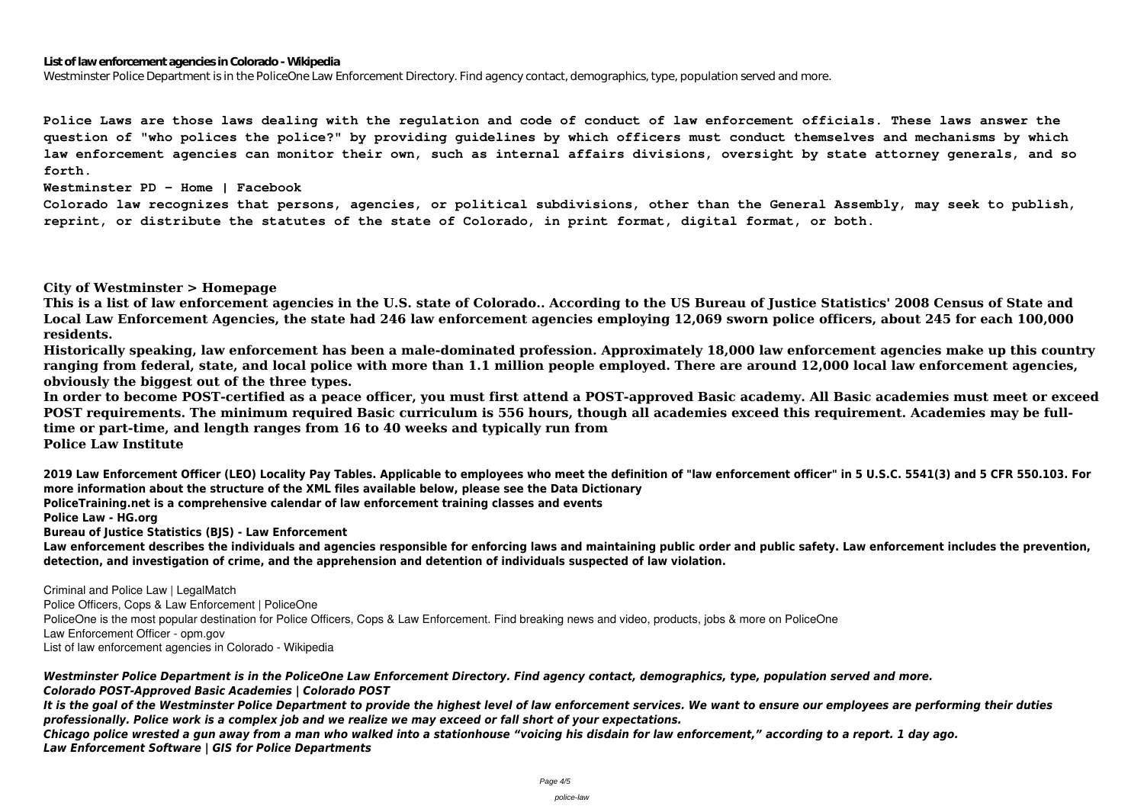#### **List of law enforcement agencies in Colorado - Wikipedia**

Westminster Police Department is in the PoliceOne Law Enforcement Directory. Find agency contact, demographics, type, population served and more.

**Police Laws are those laws dealing with the regulation and code of conduct of law enforcement officials. These laws answer the question of "who polices the police?" by providing guidelines by which officers must conduct themselves and mechanisms by which law enforcement agencies can monitor their own, such as internal affairs divisions, oversight by state attorney generals, and so forth.**

**Westminster PD - Home | Facebook**

**Colorado law recognizes that persons, agencies, or political subdivisions, other than the General Assembly, may seek to publish, reprint, or distribute the statutes of the state of Colorado, in print format, digital format, or both.**

### **City of Westminster > Homepage**

**This is a list of law enforcement agencies in the U.S. state of Colorado.. According to the US Bureau of Justice Statistics' 2008 Census of State and Local Law Enforcement Agencies, the state had 246 law enforcement agencies employing 12,069 sworn police officers, about 245 for each 100,000 residents.**

**Historically speaking, law enforcement has been a male-dominated profession. Approximately 18,000 law enforcement agencies make up this country ranging from federal, state, and local police with more than 1.1 million people employed. There are around 12,000 local law enforcement agencies, obviously the biggest out of the three types.**

**In order to become POST-certified as a peace officer, you must first attend a POST-approved Basic academy. All Basic academies must meet or exceed POST requirements. The minimum required Basic curriculum is 556 hours, though all academies exceed this requirement. Academies may be fulltime or part-time, and length ranges from 16 to 40 weeks and typically run from Police Law Institute**

**2019 Law Enforcement Officer (LEO) Locality Pay Tables. Applicable to employees who meet the definition of "law enforcement officer" in 5 U.S.C. 5541(3) and 5 CFR 550.103. For more information about the structure of the XML files available below, please see the Data Dictionary**

**PoliceTraining.net is a comprehensive calendar of law enforcement training classes and events**

**Police Law - HG.org**

**Bureau of Justice Statistics (BJS) - Law Enforcement**

**Law enforcement describes the individuals and agencies responsible for enforcing laws and maintaining public order and public safety. Law enforcement includes the prevention, detection, and investigation of crime, and the apprehension and detention of individuals suspected of law violation.**

**Criminal and Police Law | LegalMatch**

**Police Officers, Cops & Law Enforcement | PoliceOne**

PoliceOne is the most popular destination for Police Officers, Cops & Law Enforcement. Find breaking news and video, products, jobs & more on PoliceOne **Law Enforcement Officer - opm.gov**

**List of law enforcement agencies in Colorado - Wikipedia**

*Westminster Police Department is in the PoliceOne Law Enforcement Directory. Find agency contact, demographics, type, population served and more. Colorado POST-Approved Basic Academies | Colorado POST*

*It is the goal of the Westminster Police Department to provide the highest level of law enforcement services. We want to ensure our employees are performing their duties professionally. Police work is a complex job and we realize we may exceed or fall short of your expectations.*

*Chicago police wrested a gun away from a man who walked into a stationhouse "voicing his disdain for law enforcement," according to a report. 1 day ago. Law Enforcement Software | GIS for Police Departments*